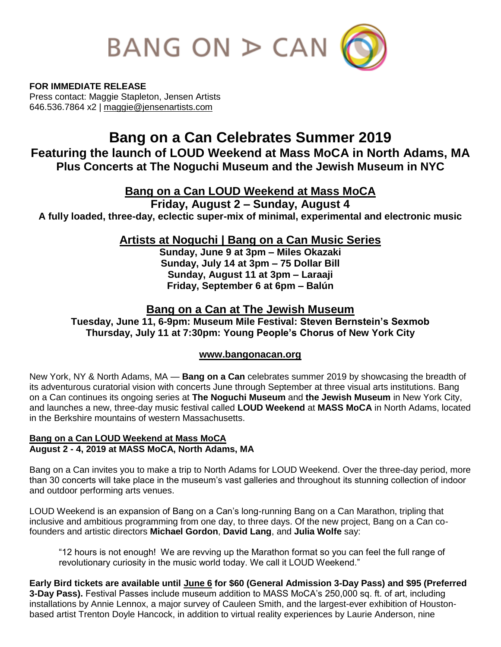

**FOR IMMEDIATE RELEASE** Press contact: Maggie Stapleton, Jensen Artists 646.536.7864 x2 | [maggie@jensenartists.com](mailto:maggie@jensenartists.com)

# **Bang on a Can Celebrates Summer 2019**

**Featuring the launch of LOUD Weekend at Mass MoCA in North Adams, MA Plus Concerts at The Noguchi Museum and the Jewish Museum in NYC**

# **Bang on a Can LOUD Weekend at Mass MoCA**

**Friday, August 2 – Sunday, August 4**

**A fully loaded, three-day, eclectic super-mix of minimal, experimental and electronic music**

**Artists at Noguchi | Bang on a Can Music Series**

**Sunday, June 9 at 3pm – Miles Okazaki Sunday, July 14 at 3pm – 75 Dollar Bill Sunday, August 11 at 3pm – Laraaji Friday, September 6 at 6pm – Balún** 

# **Bang on a Can at The Jewish Museum**

**Tuesday, June 11, 6-9pm: Museum Mile Festival: Steven Bernstein's Sexmob Thursday, July 11 at 7:30pm: Young People's Chorus of New York City**

# **[www.bangonacan.org](http://www.bangonacan.org/)**

New York, NY & North Adams, MA — **Bang on a Can** celebrates summer 2019 by showcasing the breadth of its adventurous curatorial vision with concerts June through September at three visual arts institutions. Bang on a Can continues its ongoing series at **The Noguchi Museum** and **the Jewish Museum** in New York City, and launches a new, three-day music festival called **LOUD Weekend** at **MASS MoCA** in North Adams, located in the Berkshire mountains of western Massachusetts.

## **Bang on a Can LOUD Weekend at Mass MoCA August 2 - 4, 2019 at MASS MoCA, North Adams, MA**

Bang on a Can invites you to make a trip to North Adams for LOUD Weekend. Over the three-day period, more than 30 concerts will take place in the museum's vast galleries and throughout its stunning collection of indoor and outdoor performing arts venues.

LOUD Weekend is an expansion of Bang on a Can's long-running Bang on a Can Marathon, tripling that inclusive and ambitious programming from one day, to three days. Of the new project, Bang on a Can cofounders and artistic directors **Michael Gordon**, **David Lang**, and **Julia Wolfe** say:

"12 hours is not enough! We are revving up the Marathon format so you can feel the full range of revolutionary curiosity in the music world today. We call it LOUD Weekend."

**Early Bird tickets are available until June 6 for \$60 (General Admission 3-Day Pass) and \$95 (Preferred 3-Day Pass).** Festival Passes include museum addition to MASS MoCA's 250,000 sq. ft. of art, including installations by Annie Lennox, a major survey of Cauleen Smith, and the largest-ever exhibition of Houstonbased artist Trenton Doyle Hancock, in addition to virtual reality experiences by Laurie Anderson, nine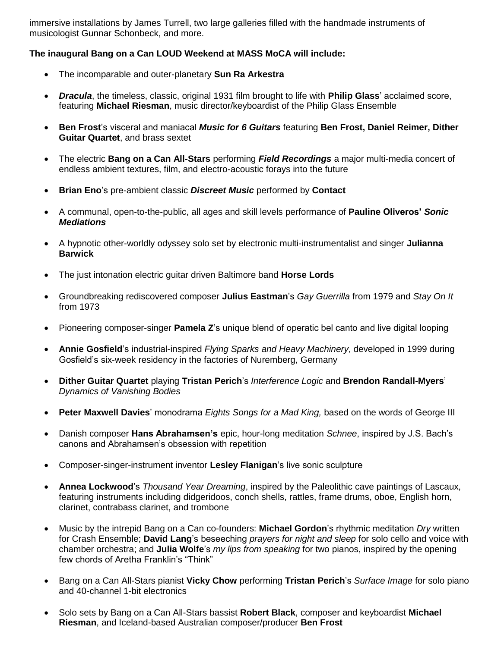immersive installations by James Turrell, two large galleries filled with the handmade instruments of musicologist Gunnar Schonbeck, and more.

## **The inaugural Bang on a Can LOUD Weekend at MASS MoCA will include:**

- The incomparable and outer-planetary **Sun Ra Arkestra**
- *Dracula*, the timeless, classic, original 1931 film brought to life with **Philip Glass**' acclaimed score, featuring **Michael Riesman**, music director/keyboardist of the Philip Glass Ensemble
- **Ben Frost**'s visceral and maniacal *Music for 6 Guitars* featuring **Ben Frost, Daniel Reimer, Dither Guitar Quartet**, and brass sextet
- The electric **Bang on a Can All-Stars** performing *Field Recordings* a major multi-media concert of endless ambient textures, film, and electro-acoustic forays into the future
- **Brian Eno**'s pre-ambient classic *Discreet Music* performed by **Contact**
- A communal, open-to-the-public, all ages and skill levels performance of **Pauline Oliveros'** *Sonic Mediations*
- A hypnotic other-worldly odyssey solo set by electronic multi-instrumentalist and singer **Julianna Barwick**
- The just intonation electric guitar driven Baltimore band **Horse Lords**
- Groundbreaking rediscovered composer **Julius Eastman**'s *Gay Guerrilla* from 1979 and *Stay On It*  from 1973
- Pioneering composer-singer **Pamela Z**'s unique blend of operatic bel canto and live digital looping
- **Annie Gosfield**'s industrial-inspired *Flying Sparks and Heavy Machinery*, developed in 1999 during Gosfield's six-week residency in the factories of Nuremberg, Germany
- **Dither Guitar Quartet** playing **Tristan Perich**'s *Interference Logic* and **Brendon Randall-Myers**' *Dynamics of Vanishing Bodies*
- **Peter Maxwell Davies**' monodrama *Eights Songs for a Mad King,* based on the words of George III
- Danish composer **Hans Abrahamsen's** epic, hour-long meditation *Schnee*, inspired by J.S. Bach's canons and Abrahamsen's obsession with repetition
- Composer-singer-instrument inventor **Lesley Flanigan**'s live sonic sculpture
- **Annea Lockwood**'s *Thousand Year Dreaming*, inspired by the Paleolithic cave paintings of Lascaux, featuring instruments including didgeridoos, conch shells, rattles, frame drums, oboe, English horn, clarinet, contrabass clarinet, and trombone
- Music by the intrepid Bang on a Can co-founders: **Michael Gordon**'s rhythmic meditation *Dry* written for Crash Ensemble; **David Lang**'s beseeching *prayers for night and sleep* for solo cello and voice with chamber orchestra; and **Julia Wolfe**'s *my lips from speaking* for two pianos, inspired by the opening few chords of Aretha Franklin's "Think"
- Bang on a Can All-Stars pianist **Vicky Chow** performing **Tristan Perich**'s *Surface Image* for solo piano and 40-channel 1-bit electronics
- Solo sets by Bang on a Can All-Stars bassist **Robert Black**, composer and keyboardist **Michael Riesman**, and Iceland-based Australian composer/producer **Ben Frost**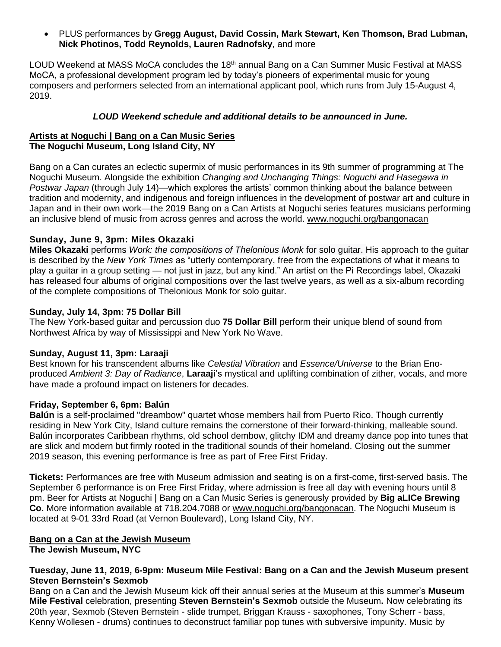PLUS performances by **Gregg August, David Cossin, Mark Stewart, Ken Thomson, Brad Lubman, Nick Photinos, Todd Reynolds, Lauren Radnofsky**, and more

LOUD Weekend at MASS MoCA concludes the  $18<sup>th</sup>$  annual Bang on a Can Summer Music Festival at MASS MoCA, a professional development program led by today's pioneers of experimental music for young composers and performers selected from an international applicant pool, which runs from July 15-August 4, 2019.

### *LOUD Weekend schedule and additional details to be announced in June.*

#### **Artists at Noguchi | Bang on a Can Music Series The Noguchi Museum, Long Island City, NY**

Bang on a Can curates an eclectic supermix of music performances in its 9th summer of programming at The Noguchi Museum. Alongside the exhibition *Changing and Unchanging Things: Noguchi and Hasegawa in Postwar Japan* (through July 14)—which explores the artists' common thinking about the balance between tradition and modernity, and indigenous and foreign influences in the development of postwar art and culture in Japan and in their own work—the 2019 Bang on a Can Artists at Noguchi series features musicians performing an inclusive blend of music from across genres and across the world. [www.noguchi.org/bangonacan](http://www.noguchi.org/bangonacan) 

#### **Sunday, [June 9, 3pm: Miles Okazaki](https://www.noguchi.org/programs/public/artists-noguchi-bang-can-music-series-miles-okazaki-june-9-2019)**

**Miles Okazaki** performs *Work: the compositions of Thelonious Monk* for solo guitar. His approach to the guitar is described by the *New York Times* as "utterly contemporary, free from the expectations of what it means to play a guitar in a group setting — not just in jazz, but any kind." An artist on the Pi Recordings label, Okazaki has released four albums of original compositions over the last twelve years, as well as a six-album recording of the complete compositions of Thelonious Monk for solo guitar.

#### **Sunday, July 14, 3pm: 75 Dollar Bill**

The New York-based guitar and percussion duo **75 Dollar Bill** perform their unique blend of sound from Northwest Africa by way of Mississippi and New York No Wave.

#### **Sunday, August 11, 3pm: Laraaji**

Best known for his transcendent albums like *Celestial Vibration* and *Essence/Universe* to the [Brian Eno](https://pitchfork.com/artists/526-brian-eno/)produced *Ambient 3: Day of Radiance*, **Laraaji**'s mystical and uplifting combination of zither, vocals, and more have made a profound impact on listeners for decades.

### **Friday, September 6, 6pm: Balún**

**Balún** is a self-proclaimed "dreambow" quartet whose members hail from Puerto Rico. Though currently residing in New York City, Island culture remains the cornerstone of their forward-thinking, malleable sound. Balún incorporates Caribbean rhythms, old school dembow, glitchy IDM and dreamy dance pop into tunes that are slick and modern but firmly rooted in the traditional sounds of their homeland. Closing out the summer 2019 season, this evening performance is free as part of Free First Friday.

**Tickets:** Performances are free with Museum admission and seating is on a first-come, first-served basis. The September 6 performance is on Free First Friday, where admission is free all day with evening hours until 8 pm. Beer for Artists at Noguchi | Bang on a Can Music Series is generously provided by **Big aLICe Brewing Co.** More information available at 718.204.7088 or [www.noguchi.org/bangonacan.](http://www.noguchi.org/bangonacan) The Noguchi Museum is located at 9-01 33rd Road (at Vernon Boulevard), Long Island City, NY.

# **Bang on a Can at the Jewish Museum**

**The Jewish Museum, NYC**

#### **Tuesday, June 11, 2019, 6-9pm: Museum Mile Festival: Bang on a Can and the Jewish Museum present Steven Bernstein's Sexmob**

Bang on a Can and the Jewish Museum kick off their annual series at the Museum at this summer's **Museum Mile Festival** celebration, presenting **Steven Bernstein's Sexmob** outside the Museum**.** Now celebrating its 20th year, Sexmob (Steven Bernstein - slide trumpet, Briggan Krauss - saxophones, Tony Scherr - bass, Kenny Wollesen - drums) continues to deconstruct familiar pop tunes with subversive impunity. Music by